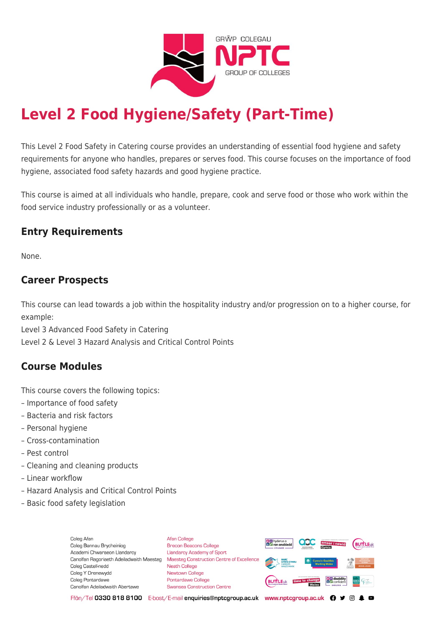

# **Level 2 Food Hygiene/Safety (Part-Time)**

This Level 2 Food Safety in Catering course provides an understanding of essential food hygiene and safety requirements for anyone who handles, prepares or serves food. This course focuses on the importance of food hygiene, associated food safety hazards and good hygiene practice.

This course is aimed at all individuals who handle, prepare, cook and serve food or those who work within the food service industry professionally or as a volunteer.

## **Entry Requirements**

None.

#### **Career Prospects**

This course can lead towards a job within the hospitality industry and/or progression on to a higher course, for example:

Level 3 Advanced Food Safety in Catering

Level 2 & Level 3 Hazard Analysis and Critical Control Points

## **Course Modules**

This course covers the following topics:

- Importance of food safety
- Bacteria and risk factors
- Personal hygiene
- Cross-contamination
- Pest control
- Cleaning and cleaning products
- Linear workflow
- Hazard Analysis and Critical Control Points
- Basic food safety legislation

Coleg Afan Coleg Bannau Brycheiniog Academi Chwaraeon Llandarcy Coleg Castell-nedd Coleg Y Drenewydd Coleg Pontardawe Canolfan Adeiladwaith Abertawe

**Afan College** Brecon Beacons College **Llandarcy Academy of Sport** Canolfan Ragoriaeth Adeiladwaith Maesteg Maesteg Construction Centre of Excellence Neath College Newtown College **Pontardawe College Swansea Construction Centre** 



Ffôn/Tel 0330 818 8100 E-bost/E-mail enquiries@nptcgroup.ac.uk www.nptcgroup.ac.uk ? • © \$